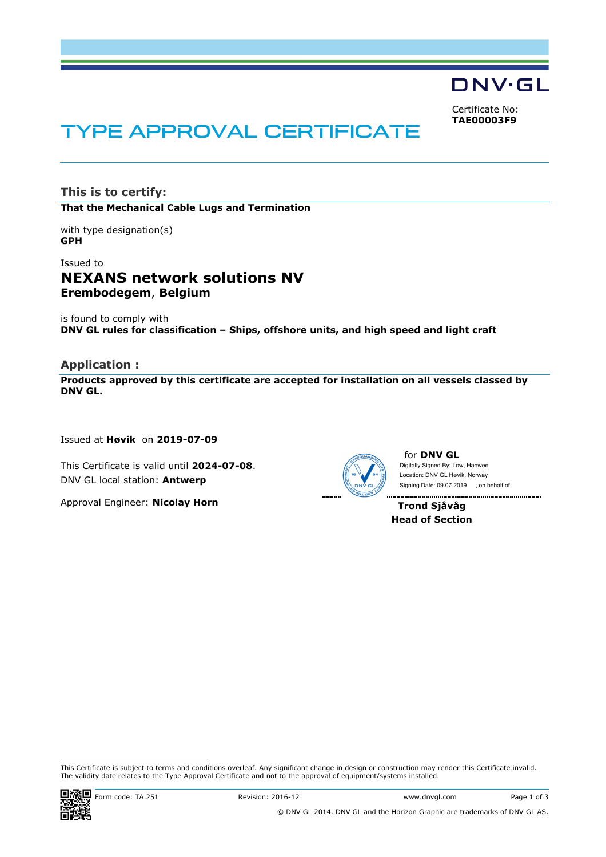**DNV·GL** 

Certificate No: **TAE00003F9**

# TYPE APPROVAL CERTIFICATE

**This is to certify: That the Mechanical Cable Lugs and Termination**

with type designation(s) **GPH**

# Issued to **NEXANS network solutions NV Erembodegem**, **Belgium**

is found to comply with **DNV GL rules for classification – Ships, offshore units, and high speed and light craft**

#### **Application :**

**Products approved by this certificate are accepted for installation on all vessels classed by DNV GL.** 

Issued at **Høvik** on **2019-07-09**

This Certificate is valid until **2024-07-08**. DNV GL local station: **Antwerp**

Approval Engineer: **Nicolay Horn**



for **DNV GL** Digitally Signed By: Low, Hanwee Signing Date: 09.07.2019 , on behalf ofLocation: DNV GL Høvik, Norway

**Trond Sjåvåg Head of Section**

 This Certificate is subject to terms and conditions overleaf. Any significant change in design or construction may render this Certificate invalid. The validity date relates to the Type Approval Certificate and not to the approval of equipment/systems installed.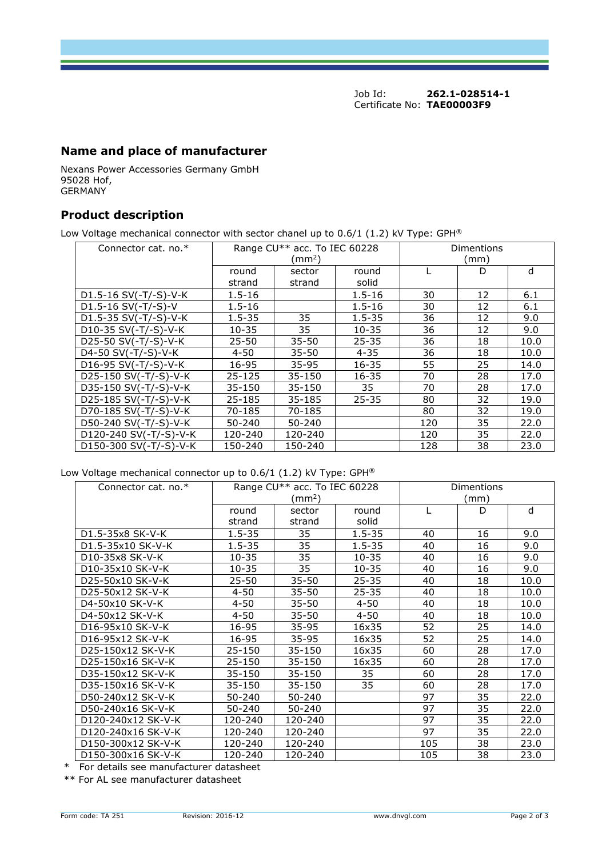Job Id: **262.1-028514-1** Certificate No: **TAE00003F9**

# **Name and place of manufacturer**

Nexans Power Accessories Germany GmbH 95028 Hof, GERMANY

### **Product description**

Low Voltage mechanical connector with sector chanel up to  $0.6/1$  (1.2) kV Type: GPH®

| Connector cat. no.*     |                 | Range CU** acc. To IEC 60228<br>$\text{ (mm}^2\text{)}$ | Dimentions<br>(mm) |     |    |      |
|-------------------------|-----------------|---------------------------------------------------------|--------------------|-----|----|------|
|                         | round<br>strand | sector<br>strand                                        | round<br>solid     |     | D  | d    |
| D1.5-16 SV(-T/-S)-V-K   | $1.5 - 16$      |                                                         | $1.5 - 16$         | 30  | 12 | 6.1  |
| $D1.5 - 16 SV(-T/-S)-V$ | $1.5 - 16$      |                                                         | $1.5 - 16$         | 30  | 12 | 6.1  |
| D1.5-35 SV(-T/-S)-V-K   | $1.5 - 35$      | 35                                                      | $1.5 - 35$         | 36  | 12 | 9.0  |
| D10-35 SV(-T/-S)-V-K    | $10 - 35$       | 35                                                      | $10 - 35$          | 36  | 12 | 9.0  |
| D25-50 SV(-T/-S)-V-K    | $25 - 50$       | $35 - 50$                                               | $25 - 35$          | 36  | 18 | 10.0 |
| D4-50 SV(-T/-S)-V-K     | $4 - 50$        | $35 - 50$                                               | $4 - 35$           | 36  | 18 | 10.0 |
| D16-95 SV(-T/-S)-V-K    | 16-95           | $35 - 95$                                               | $16 - 35$          | 55  | 25 | 14.0 |
| D25-150 SV(-T/-S)-V-K   | $25 - 125$      | 35-150                                                  | $16 - 35$          | 70  | 28 | 17.0 |
| D35-150 SV(-T/-S)-V-K   | 35-150          | $35 - 150$                                              | 35                 | 70  | 28 | 17.0 |
| D25-185 SV(-T/-S)-V-K   | 25-185          | $35 - 185$                                              | $25 - 35$          | 80  | 32 | 19.0 |
| D70-185 SV(-T/-S)-V-K   | 70-185          | 70-185                                                  |                    | 80  | 32 | 19.0 |
| D50-240 SV(-T/-S)-V-K   | 50-240          | 50-240                                                  |                    | 120 | 35 | 22.0 |
| D120-240 SV(-T/-S)-V-K  | 120-240         | 120-240                                                 |                    | 120 | 35 | 22.0 |
| D150-300 SV(-T/-S)-V-K  | 150-240         | 150-240                                                 |                    | 128 | 38 | 23.0 |

#### Low Voltage mechanical connector up to 0.6/1 (1.2) kV Type: GPH®

| Connector cat. no. $*$                    | Range CU** acc. To IEC 60228<br>(mm <sup>2</sup> ) |                  |                | <b>Dimentions</b><br>(mm) |    |      |  |
|-------------------------------------------|----------------------------------------------------|------------------|----------------|---------------------------|----|------|--|
|                                           |                                                    |                  |                | D                         |    |      |  |
|                                           | round<br>strand                                    | sector<br>strand | round<br>solid |                           |    | d    |  |
|                                           | $1.5 - 35$                                         | 35               | $1.5 - 35$     |                           |    | 9.0  |  |
| D <sub>1</sub> .5-35x8 SK-V-K             |                                                    |                  |                | 40                        | 16 |      |  |
| D1.5-35x10 SK-V-K                         | $1.5 - 35$                                         | 35               | $1.5 - 35$     | 40                        | 16 | 9.0  |  |
| D10-35x8 SK-V-K                           | 10-35                                              | 35               | $10 - 35$      | 40                        | 16 | 9.0  |  |
| D10-35x10 SK-V-K                          | $10 - 35$                                          | 35               | $10 - 35$      | 40                        | 16 | 9.0  |  |
| D25-50x10 SK-V-K                          | $25 - 50$                                          | $35 - 50$        | $25 - 35$      | 40                        | 18 | 10.0 |  |
| D25-50x12 SK-V-K                          | $4 - 50$                                           | 35-50            | 25-35          | 40                        | 18 | 10.0 |  |
| D4-50x10 SK-V-K                           | $4 - 50$                                           | 35-50            | $4 - 50$       | 40                        | 18 | 10.0 |  |
| D4-50x12 SK-V-K                           | $4 - 50$                                           | 35-50            | 4-50           | 40                        | 18 | 10.0 |  |
| D16-95x10 SK-V-K                          | 16-95                                              | 35-95            | 16x35          | 52                        | 25 | 14.0 |  |
| D <sub>16</sub> -95x <sub>12</sub> SK-V-K | 16-95                                              | $35 - 95$        | 16x35          | 52                        | 25 | 14.0 |  |
| D25-150x12 SK-V-K                         | 25-150                                             | 35-150           | 16x35          | 60                        | 28 | 17.0 |  |
| D25-150x16 SK-V-K                         | 25-150                                             | 35-150           | 16x35          | 60                        | 28 | 17.0 |  |
| D35-150x12 SK-V-K                         | $35 - 150$                                         | 35-150           | 35             | 60                        | 28 | 17.0 |  |
| D35-150x16 SK-V-K                         | 35-150                                             | 35-150           | 35             | 60                        | 28 | 17.0 |  |
| D50-240x12 SK-V-K                         | 50-240                                             | 50-240           |                | 97                        | 35 | 22.0 |  |
| D50-240x16 SK-V-K                         | 50-240                                             | 50-240           |                | 97                        | 35 | 22.0 |  |
| D120-240x12 SK-V-K                        | 120-240                                            | 120-240          |                | 97                        | 35 | 22.0 |  |
| D120-240x16 SK-V-K                        | 120-240                                            | 120-240          |                | 97                        | 35 | 22.0 |  |
| D150-300x12 SK-V-K                        | 120-240                                            | 120-240          |                | 105                       | 38 | 23.0 |  |
| D150-300x16 SK-V-K                        | 120-240                                            | 120-240          |                | 105                       | 38 | 23.0 |  |

\* For details see manufacturer datasheet

\*\* For AL see manufacturer datasheet